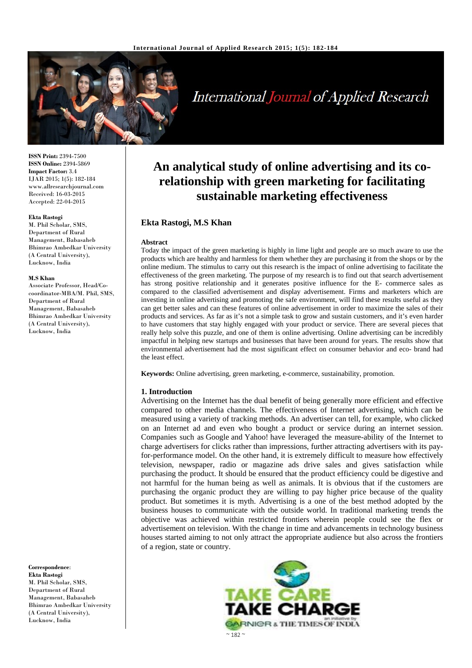

# International Journal of Applied Research

**ISSN Print:** 2394-7500 **ISSN Online:** 2394-5869 **Impact Factor:** 3.4 IJAR 2015; 1(5): 182-184 www.allresearchjournal.com Received: 16-03-2015 Accepted: 22-04-2015

#### **Ekta Rastogi**

M. Phil Scholar, SMS, Department of Rural Management, Babasaheb Bhimrao Ambedkar University (A Central University), Lucknow, India

#### **M.S Khan**

Associate Professor, Head/Cocoordinator-MBA/M. Phil, SMS, Department of Rural Management, Babasaheb Bhimrao Ambedkar University (A Central University), Lucknow, India

**Correspondence**: **Ekta Rastogi**  M. Phil Scholar, SMS, Department of Rural Management, Babasaheb Bhimrao Ambedkar University (A Central University), Lucknow, India

# **An analytical study of online advertising and its corelationship with green marketing for facilitating sustainable marketing effectiveness**

# **Ekta Rastogi, M.S Khan**

#### **Abstract**

Today the impact of the green marketing is highly in lime light and people are so much aware to use the products which are healthy and harmless for them whether they are purchasing it from the shops or by the online medium. The stimulus to carry out this research is the impact of online advertising to facilitate the effectiveness of the green marketing. The purpose of my research is to find out that search advertisement has strong positive relationship and it generates positive influence for the E- commerce sales as compared to the classified advertisement and display advertisement. Firms and marketers which are investing in online advertising and promoting the safe environment, will find these results useful as they can get better sales and can these features of online advertisement in order to maximize the sales of their products and services. As far as it's not a simple task to grow and sustain customers, and it's even harder to have customers that stay highly engaged with your product or service. There are several pieces that really help solve this puzzle, and one of them is online advertising. Online advertising can be incredibly impactful in helping new startups and businesses that have been around for years. The results show that environmental advertisement had the most significant effect on consumer behavior and eco- brand had the least effect.

**Keywords:** Online advertising, green marketing, e-commerce, sustainability, promotion.

#### **1. Introduction**

Advertising on the Internet has the dual benefit of being generally more efficient and effective compared to other media channels. The effectiveness of Internet advertising, which can be measured using a variety of tracking methods. An advertiser can tell, for example, who clicked on an Internet ad and even who bought a product or service during an internet session. Companies such as Google and Yahoo! have leveraged the measure-ability of the Internet to charge advertisers for clicks rather than impressions, further attracting advertisers with its payfor-performance model. On the other hand, it is extremely difficult to measure how effectively television, newspaper, radio or magazine ads drive sales and gives satisfaction while purchasing the product. It should be ensured that the product efficiency could be digestive and not harmful for the human being as well as animals. It is obvious that if the customers are purchasing the organic product they are willing to pay higher price because of the quality product. But sometimes it is myth. Advertising is a one of the best method adopted by the business houses to communicate with the outside world. In traditional marketing trends the objective was achieved within restricted frontiers wherein people could see the flex or advertisement on television. With the change in time and advancements in technology business houses started aiming to not only attract the appropriate audience but also across the frontiers of a region, state or country.

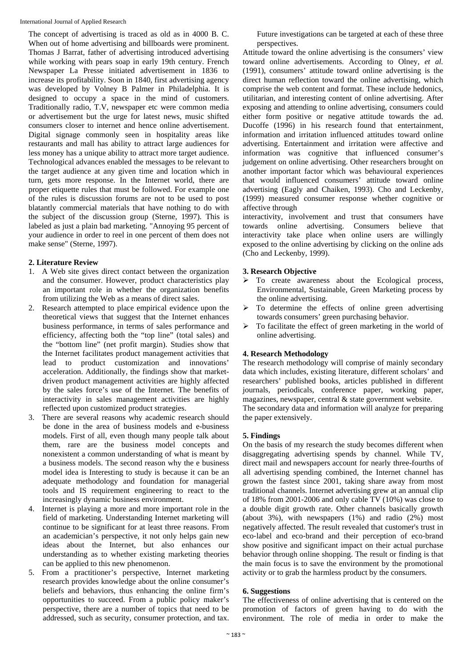The concept of advertising is traced as old as in 4000 B. C. When out of home advertising and billboards were prominent. Thomas J Barrat, father of advertising introduced advertising while working with pears soap in early 19th century. French Newspaper La Presse initiated advertisement in 1836 to increase its profitability. Soon in 1840, first advertising agency was developed by Volney B Palmer in Philadelphia. It is designed to occupy a space in the mind of customers. Traditionally radio, T.V, newspaper etc were common media or advertisement but the urge for latest news, music shifted consumers closer to internet and hence online advertisement. Digital signage commonly seen in hospitality areas like restaurants and mall has ability to attract large audiences for less money has a unique ability to attract more target audience. Technological advances enabled the messages to be relevant to the target audience at any given time and location which in turn, gets more response. In the Internet world, there are proper etiquette rules that must be followed. For example one of the rules is discussion forums are not to be used to post blatantly commercial materials that have nothing to do with the subject of the discussion group (Sterne, 1997). This is labeled as just a plain bad marketing. "Annoying 95 percent of your audience in order to reel in one percent of them does not make sense" (Sterne, 1997).

#### **2. Literature Review**

- 1. A Web site gives direct contact between the organization and the consumer. However, product characteristics play an important role in whether the organization benefits from utilizing the Web as a means of direct sales.
- 2. Research attempted to place empirical evidence upon the theoretical views that suggest that the Internet enhances business performance, in terms of sales performance and efficiency, affecting both the "top line" (total sales) and the "bottom line" (net profit margin). Studies show that the Internet facilitates product management activities that lead to product customization and innovations' acceleration. Additionally, the findings show that marketdriven product management activities are highly affected by the sales force's use of the Internet. The benefits of interactivity in sales management activities are highly reflected upon customized product strategies.
- 3. There are several reasons why academic research should be done in the area of business models and e-business models. First of all, even though many people talk about them, rare are the business model concepts and nonexistent a common understanding of what is meant by a business models. The second reason why the e business model idea is Interesting to study is because it can be an adequate methodology and foundation for managerial tools and IS requirement engineering to react to the increasingly dynamic business environment.
- 4. Internet is playing a more and more important role in the field of marketing. Understanding Internet marketing will continue to be significant for at least three reasons. From an academician's perspective, it not only helps gain new ideas about the Internet, but also enhances our understanding as to whether existing marketing theories can be applied to this new phenomenon.
- 5. From a practitioner's perspective, Internet marketing research provides knowledge about the online consumer's beliefs and behaviors, thus enhancing the online firm's opportunities to succeed. From a public policy maker's perspective, there are a number of topics that need to be addressed, such as security, consumer protection, and tax.

Future investigations can be targeted at each of these three perspectives.

Attitude toward the online advertising is the consumers' view toward online advertisements. According to Olney, *et al.* (1991), consumers' attitude toward online advertising is the direct human reflection toward the online advertising, which comprise the web content and format. These include hedonics, utilitarian, and interesting content of online advertising. After exposing and attending to online advertising, consumers could either form positive or negative attitude towards the ad. Ducoffe (1996) in his research found that entertainment, information and irritation influenced attitudes toward online advertising. Entertainment and irritation were affective and information was cognitive that influenced consumer's judgement on online advertising. Other researchers brought on another important factor which was behavioural experiences that would influenced consumers' attitude toward online advertising (Eagly and Chaiken, 1993). Cho and Leckenby, (1999) measured consumer response whether cognitive or affective through

interactivity, involvement and trust that consumers have towards online advertising. Consumers believe that interactivity take place when online users are willingly exposed to the online advertising by clicking on the online ads (Cho and Leckenby, 1999).

# **3. Research Objective**

- $\triangleright$  To create awareness about the Ecological process, Environmental, Sustainable, Green Marketing process by the online advertising.
- $\triangleright$  To determine the effects of online green advertising towards consumers' green purchasing behavior.
- $\triangleright$  To facilitate the effect of green marketing in the world of online advertising.

# **4. Research Methodology**

The research methodology will comprise of mainly secondary data which includes, existing literature, different scholars' and researchers' published books, articles published in different journals, periodicals, conference paper, working paper, magazines, newspaper, central & state government website. The secondary data and information will analyze for preparing the paper extensively.

# **5. Findings**

On the basis of my research the study becomes different when disaggregating advertising spends by channel. While TV, direct mail and newspapers account for nearly three-fourths of all advertising spending combined, the Internet channel has grown the fastest since 2001, taking share away from most traditional channels. Internet advertising grew at an annual clip of 18% from 2001-2006 and only cable TV (10%) was close to a double digit growth rate. Other channels basically growth (about 3%), with newspapers (1%) and radio (2%) most negatively affected. The result revealed that customer's trust in eco‐label and eco‐brand and their perception of eco‐brand show positive and significant impact on their actual purchase behavior through online shopping. The result or finding is that the main focus is to save the environment by the promotional activity or to grab the harmless product by the consumers.

#### **6. Suggestions**

The effectiveness of online advertising that is centered on the promotion of factors of green having to do with the environment. The role of media in order to make the